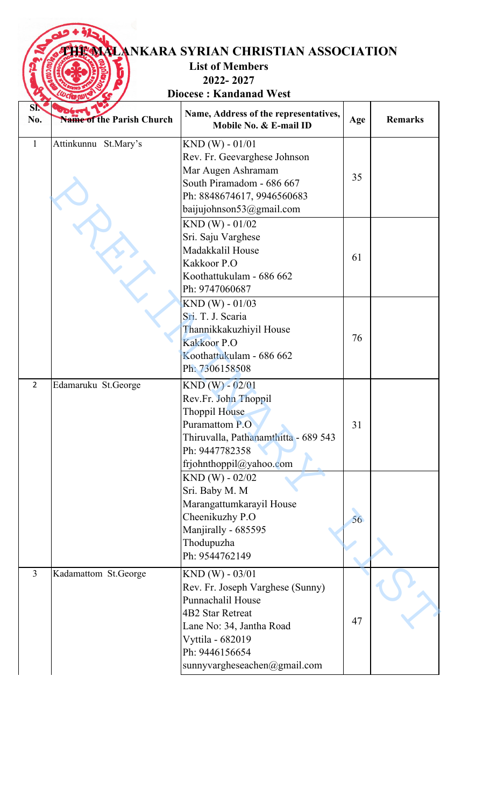## **THE MALANKARA SYRIAN CHRISTIAN ASSOCIATION**

## **List of Members 2022- 2027**

**Diocese : Kandanad West**

| SI.            | ಳ                         | Name, Address of the representatives,                                                                                                                                                                  |     |                |
|----------------|---------------------------|--------------------------------------------------------------------------------------------------------------------------------------------------------------------------------------------------------|-----|----------------|
| No.            | Name of the Parish Church | Mobile No. & E-mail ID                                                                                                                                                                                 | Age | <b>Remarks</b> |
| $\mathbf{1}$   | Attinkunnu St.Mary's      | $KND(W) - 01/01$<br>Rev. Fr. Geevarghese Johnson<br>Mar Augen Ashramam<br>South Piramadom - 686 667<br>Ph: 8848674617, 9946560683<br>baijujohnson53@gmail.com                                          | 35  |                |
|                |                           | $KND(W) - 01/02$<br>Sri. Saju Varghese<br>Madakkalil House<br>Kakkoor P.O<br>Koothattukulam - 686 662<br>Ph: 9747060687                                                                                | 61  |                |
|                |                           | $KND(W) - 01/03$<br>Sri. T. J. Scaria<br>Thannikkakuzhiyil House<br>Kakkoor P.O<br>Koothattukulam - 686 662<br>Ph: 7306158508                                                                          | 76  |                |
| $\overline{2}$ | Edamaruku St.George       | $KND (W) - 02/01$<br>Rev.Fr. John Thoppil<br>Thoppil House<br>Puramattom P.O<br>Thiruvalla, Pathanamthitta - 689 543<br>Ph: 9447782358<br>frjohnthoppil@yahoo.com                                      | 31  |                |
|                |                           | $KND(W) - 02/02$<br>Sri. Baby M. M<br>Marangattumkarayil House<br>Cheenikuzhy P.O<br>Manjirally - 685595<br>Thodupuzha<br>Ph: 9544762149                                                               | 56  |                |
| $\overline{3}$ | Kadamattom St.George      | $KND(W) - 03/01$<br>Rev. Fr. Joseph Varghese (Sunny)<br>Punnachalil House<br><b>4B2 Star Retreat</b><br>Lane No: 34, Jantha Road<br>Vyttila - 682019<br>Ph: 9446156654<br>sunnyvargheseachen@gmail.com | 47  |                |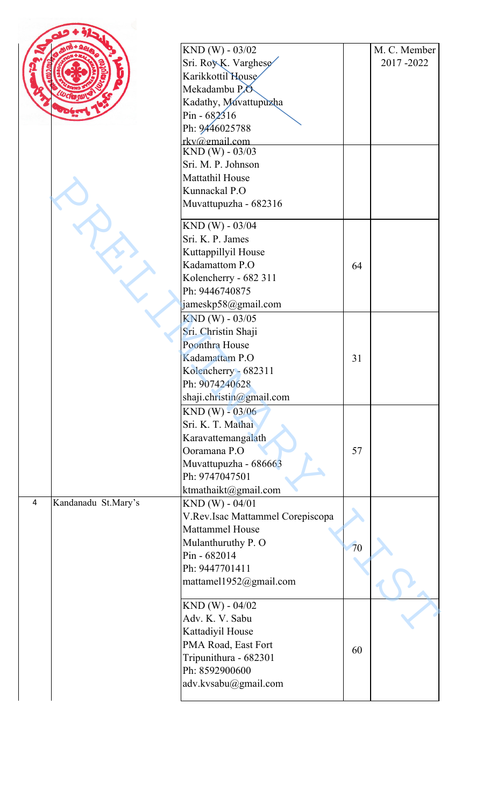|                |                     | $KND (W) - 03/02$<br>Sri. Roy K. Varghese |    | M. C. Member<br>2017-2022 |
|----------------|---------------------|-------------------------------------------|----|---------------------------|
|                |                     | Karikkottil House                         |    |                           |
|                |                     | Mekadambu P.O.                            |    |                           |
|                |                     | Kadathy, Muvattupuzha                     |    |                           |
|                |                     | $Pin - 682316$                            |    |                           |
|                |                     | Ph: 9446025788                            |    |                           |
|                |                     | rkv@gmail.com<br>$KND$ (W) - 03/03        |    |                           |
|                |                     | Sri. M. P. Johnson                        |    |                           |
|                |                     | <b>Mattathil House</b>                    |    |                           |
|                |                     | Kunnackal P.O                             |    |                           |
|                |                     | Muvattupuzha - 682316                     |    |                           |
|                |                     | $KND(W) - 03/04$                          |    |                           |
|                |                     | Sri. K. P. James                          |    |                           |
|                |                     | Kuttappillyil House<br>Kadamattom P.O     |    |                           |
|                |                     |                                           | 64 |                           |
|                |                     | Kolencherry - 682 311<br>Ph: 9446740875   |    |                           |
|                |                     | jameskp58@gmail.com                       |    |                           |
|                |                     |                                           |    |                           |
|                |                     | KND (W) - 03/05<br>Sri. Christin Shaji    |    |                           |
|                |                     | Poonthra House                            |    |                           |
|                |                     | Kadamattam P.O                            | 31 |                           |
|                |                     | Kolencherry - 682311                      |    |                           |
|                |                     | Ph: 9074240628                            |    |                           |
|                |                     | shaji.christin@gmail.com                  |    |                           |
|                |                     | $KND(W) - 03/06$                          |    |                           |
|                |                     | Sri. K. T. Mathai                         |    |                           |
|                |                     | Karavattemangalath                        |    |                           |
|                |                     | Ooramana P.O                              | 57 |                           |
|                |                     | Muvattupuzha - 686663                     |    |                           |
|                |                     | Ph: 9747047501                            |    |                           |
|                |                     | ktmathaikt@gmail.com                      |    |                           |
| $\overline{4}$ | Kandanadu St.Mary's | $KND(W) - 04/01$                          |    |                           |
|                |                     | V.Rev.Isac Mattammel Corepiscopa          |    |                           |
|                |                     | <b>Mattammel House</b>                    |    |                           |
|                |                     | Mulanthuruthy P. O                        | 70 |                           |
|                |                     | Pin - 682014                              |    |                           |
|                |                     | Ph: 9447701411                            |    |                           |
|                |                     | mattamel1952@gmail.com                    |    |                           |
|                |                     | $KND(W) - 04/02$                          |    |                           |
|                |                     | Adv. K. V. Sabu                           |    |                           |
|                |                     | Kattadiyil House                          |    |                           |
|                |                     | PMA Road, East Fort                       | 60 |                           |
|                |                     | Tripunithura - 682301                     |    |                           |
|                |                     | Ph: 8592900600                            |    |                           |
|                |                     | adv.kvsabu@gmail.com                      |    |                           |
|                |                     |                                           |    |                           |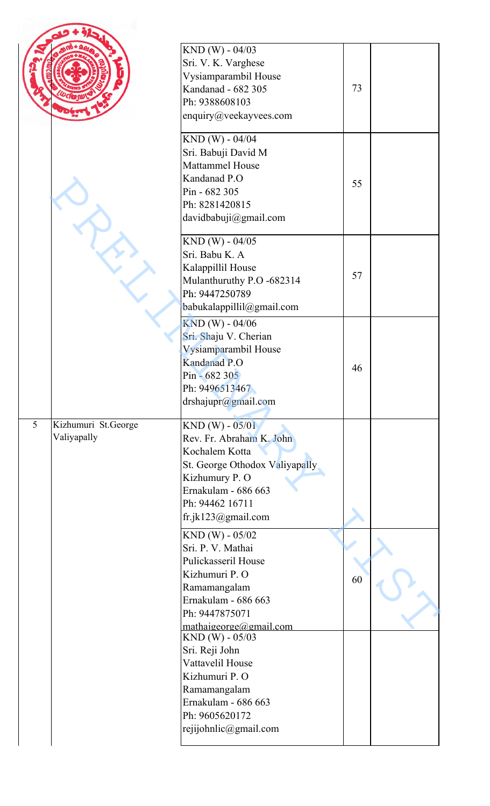|   |                                    | KND (W) - 04/03<br>Sri. V. K. Varghese<br>Vysiamparambil House<br>Kandanad - 682 305<br>Ph: 9388608103<br>enquiry@veekayvees.com                                                   | 73 |  |
|---|------------------------------------|------------------------------------------------------------------------------------------------------------------------------------------------------------------------------------|----|--|
|   |                                    | KND (W) - 04/04<br>Sri. Babuji David M<br><b>Mattammel House</b><br>Kandanad P.O<br>Pin - 682 305<br>Ph: 8281420815<br>davidbabuji@gmail.com                                       | 55 |  |
|   |                                    | KND (W) - 04/05<br>Sri. Babu K. A<br>Kalappillil House<br>Mulanthuruthy P.O -682314<br>Ph: 9447250789<br>babukalappillil@gmail.com                                                 | 57 |  |
|   |                                    | KND (W) - 04/06<br>Sri. Shaju V. Cherian<br>Vysiamparambil House<br>Kandanad P.O<br>Pin - 682 305<br>Ph: 9496513467<br>drshajupr@gmail.com                                         | 46 |  |
| 5 | Kizhumuri St.George<br>Valiyapally | $KND(W) - 05/01$<br>Rev. Fr. Abraham K. John<br>Kochalem Kotta<br>St. George Othodox Valiyapally<br>Kizhumury P. O<br>Ernakulam - 686 663<br>Ph: 94462 16711<br>fr.jk123@gmail.com |    |  |
|   |                                    | $KND(W) - 05/02$<br>Sri. P. V. Mathai<br>Pulickasseril House<br>Kizhumuri P. O<br>Ramamangalam<br>Ernakulam - 686 663<br>Ph: 9447875071<br>mathaigeorge@gmail.com                  | 60 |  |
|   |                                    | KND (W) - 05/03<br>Sri. Reji John<br>Vattavelil House<br>Kizhumuri P. O<br>Ramamangalam<br>Ernakulam - 686 663<br>Ph: 9605620172<br>rejijohnlic@gmail.com                          |    |  |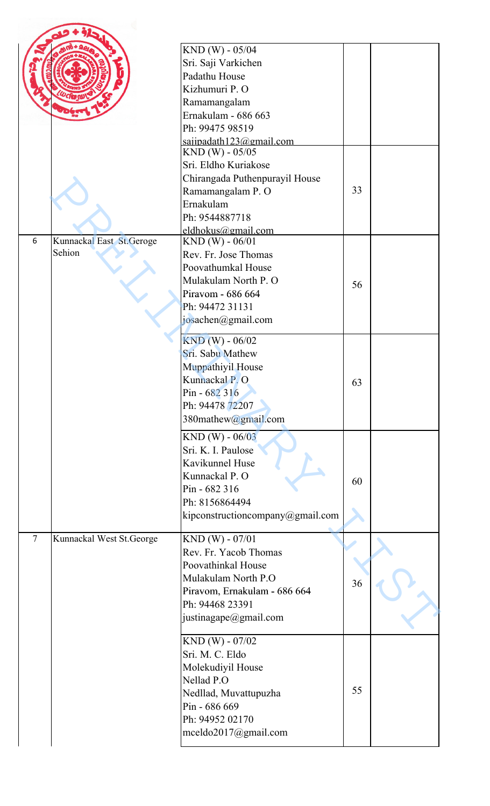|                |                           | KND (W) - 05/04                                |    |  |
|----------------|---------------------------|------------------------------------------------|----|--|
|                |                           | Sri. Saji Varkichen                            |    |  |
|                |                           | Padathu House                                  |    |  |
|                |                           | Kizhumuri P. O                                 |    |  |
|                |                           | Ramamangalam                                   |    |  |
|                |                           | Ernakulam - 686 663                            |    |  |
|                |                           | Ph: 99475 98519                                |    |  |
|                |                           | sajipadath $123@g$ mail.com<br>KND (W) - 05/05 |    |  |
|                |                           | Sri. Eldho Kuriakose                           |    |  |
|                |                           | Chirangada Puthenpurayil House                 |    |  |
|                |                           | Ramamangalam P. O                              | 33 |  |
|                |                           | Ernakulam                                      |    |  |
|                |                           | Ph: 9544887718                                 |    |  |
|                |                           |                                                |    |  |
| 6              | Kunnackal East St. Geroge | eldhokus@gmail.com<br>$KND(W) - 06/01$         |    |  |
|                | Sehion                    | Rev. Fr. Jose Thomas                           |    |  |
|                |                           |                                                |    |  |
|                |                           | Poovathumkal House                             |    |  |
|                |                           | Mulakulam North P. O                           | 56 |  |
|                |                           | Piravom - 686 664                              |    |  |
|                |                           | Ph: 94472 31131                                |    |  |
|                |                           | josachen@gmail.com                             |    |  |
|                |                           | $KND(W) - 06/02$                               |    |  |
|                |                           | Sri. Sabu Mathew                               |    |  |
|                |                           | Muppathiyil House                              |    |  |
|                |                           | Kunnackal P.O                                  | 63 |  |
|                |                           | Pin - 682 316                                  |    |  |
|                |                           | Ph: 94478 72207                                |    |  |
|                |                           |                                                |    |  |
|                |                           | 380mathew@gmail.com                            |    |  |
|                |                           | $KND(W) - 06/03$                               |    |  |
|                |                           | Sri. K. I. Paulose                             |    |  |
|                |                           | Kavikunnel Huse                                |    |  |
|                |                           | Kunnackal P. O                                 |    |  |
|                |                           | Pin - 682 316                                  | 60 |  |
|                |                           | Ph: 8156864494                                 |    |  |
|                |                           | kipconstructioncompany@gmail.com               |    |  |
|                |                           |                                                |    |  |
| $\overline{7}$ | Kunnackal West St.George  | $KND(W) - 07/01$                               |    |  |
|                |                           | Rev. Fr. Yacob Thomas                          |    |  |
|                |                           | Poovathinkal House                             |    |  |
|                |                           | Mulakulam North P.O                            | 36 |  |
|                |                           | Piravom, Ernakulam - 686 664                   |    |  |
|                |                           | Ph: 94468 23391                                |    |  |
|                |                           | justinagape@gmail.com                          |    |  |
|                |                           | KND (W) - 07/02                                |    |  |
|                |                           | Sri. M. C. Eldo                                |    |  |
|                |                           | Molekudiyil House                              |    |  |
|                |                           | Nellad P.O                                     |    |  |
|                |                           | Nedllad, Muvattupuzha                          | 55 |  |
|                |                           | Pin - 686 669                                  |    |  |
|                |                           | Ph: 94952 02170                                |    |  |
|                |                           |                                                |    |  |
|                |                           | mceldo2017@gmail.com                           |    |  |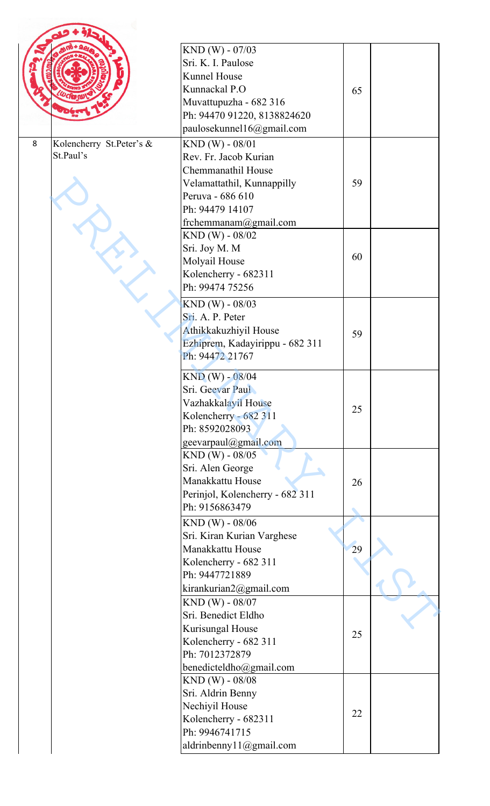|   |                                       | KND (W) - 07/03                                |    |  |
|---|---------------------------------------|------------------------------------------------|----|--|
|   |                                       | Sri. K. I. Paulose                             |    |  |
|   |                                       | Kunnel House                                   |    |  |
|   |                                       | Kunnackal P.O                                  |    |  |
|   |                                       | Muvattupuzha - 682 316                         | 65 |  |
|   |                                       | Ph: 94470 91220, 8138824620                    |    |  |
|   |                                       | paulosekunnel16@gmail.com                      |    |  |
| 8 |                                       |                                                |    |  |
|   | Kolencherry St.Peter's &<br>St.Paul's | KND (W) - 08/01                                |    |  |
|   |                                       | Rev. Fr. Jacob Kurian                          |    |  |
|   |                                       | Chemmanathil House                             | 59 |  |
|   |                                       | Velamattathil, Kunnappilly<br>Peruva - 686 610 |    |  |
|   |                                       | Ph: 94479 14107                                |    |  |
|   |                                       | frchemmanam@gmail.com                          |    |  |
|   |                                       | $KND (W) - 08/02$                              |    |  |
|   |                                       | Sri. Joy M. M                                  |    |  |
|   |                                       | Molyail House                                  | 60 |  |
|   |                                       | Kolencherry - 682311                           |    |  |
|   |                                       | Ph: 99474 75256                                |    |  |
|   |                                       |                                                |    |  |
|   |                                       | KND (W) - 08/03                                |    |  |
|   |                                       | Sri. A. P. Peter                               |    |  |
|   |                                       | Athikkakuzhiyil House                          | 59 |  |
|   |                                       | Ezhiprem, Kadayirippu - 682 311                |    |  |
|   |                                       | Ph: 94472 21767                                |    |  |
|   |                                       | $KND (W) - 08/04$                              |    |  |
|   |                                       | Sri. Geevar Paul                               |    |  |
|   |                                       | Vazhakkalayil House                            | 25 |  |
|   |                                       | Kolencherry - 682 311                          |    |  |
|   |                                       | Ph: 8592028093                                 |    |  |
|   |                                       | geevarpaul@gmail.com                           |    |  |
|   |                                       | KND (W) - 08/05                                |    |  |
|   |                                       | Sri. Alen George                               |    |  |
|   |                                       | Manakkattu House                               | 26 |  |
|   |                                       | Perinjol, Kolencherry - 682 311                |    |  |
|   |                                       | Ph: 9156863479                                 |    |  |
|   |                                       | KND (W) - 08/06                                |    |  |
|   |                                       | Sri. Kiran Kurian Varghese                     |    |  |
|   |                                       | Manakkattu House                               | 29 |  |
|   |                                       | Kolencherry - 682 311                          |    |  |
|   |                                       | Ph: 9447721889                                 |    |  |
|   |                                       | kirankurian2@gmail.com                         |    |  |
|   |                                       | KND (W) - 08/07                                |    |  |
|   |                                       | Sri. Benedict Eldho                            |    |  |
|   |                                       | Kurisungal House                               | 25 |  |
|   |                                       | Kolencherry - 682 311                          |    |  |
|   |                                       | Ph: 7012372879                                 |    |  |
|   |                                       | benedicteldho@gmail.com                        |    |  |
|   |                                       | KND (W) - 08/08                                |    |  |
|   |                                       | Sri. Aldrin Benny                              |    |  |
|   |                                       | Nechiyil House                                 | 22 |  |
|   |                                       | Kolencherry - 682311                           |    |  |
|   |                                       | Ph: 9946741715                                 |    |  |
|   |                                       | aldrinbenny11@gmail.com                        |    |  |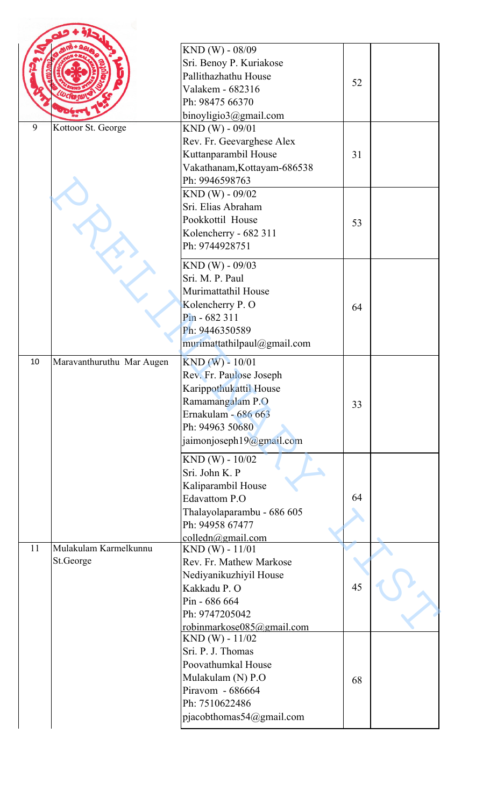|    |                                    | KND (W) - 08/09<br>Sri. Benoy P. Kuriakose<br>Pallithazhathu House<br>Valakem - 682316<br>Ph: 98475 66370<br>binoyligio3@gmail.com                                              | 52 |  |
|----|------------------------------------|---------------------------------------------------------------------------------------------------------------------------------------------------------------------------------|----|--|
| 9  | Kottoor St. George                 | KND (W) - 09/01<br>Rev. Fr. Geevarghese Alex<br>Kuttanparambil House<br>Vakathanam, Kottayam-686538<br>Ph: 9946598763                                                           | 31 |  |
|    |                                    | KND (W) - 09/02<br>Sri. Elias Abraham<br>Pookkottil House<br>Kolencherry - 682 311<br>Ph: 9744928751                                                                            | 53 |  |
|    |                                    | $KND (W) - 09/03$<br>Sri. M. P. Paul<br>Murimattathil House<br>Kolencherry P. O<br>Pin - 682 311<br>Ph: 9446350589<br>murimattathilpaul@gmail.com                               | 64 |  |
| 10 | Maravanthuruthu Mar Augen          | $KND(W) - 10/01$<br>Rev. Fr. Paulose Joseph<br>Karippothukattil House<br>Ramamangalam P.O<br>Ernakulam - 686 663<br>Ph: 94963 50680<br>jaimonjoseph19@gmail.com                 | 33 |  |
|    |                                    | $KND (W) - 10/02$<br>Sri. John K. P<br>Kaliparambil House<br><b>Edavattom P.O</b><br>Thalayolaparambu - 686 605<br>Ph: 94958 67477<br>colledn@gmail.com                         | 64 |  |
| 11 | Mulakulam Karmelkunnu<br>St.George | $KND(W) - 11/01$<br>Rev. Fr. Mathew Markose<br>Nediyanikuzhiyil House<br>Kakkadu P. O<br>Pin - 686 664<br>Ph: 9747205042                                                        | 45 |  |
|    |                                    | robinmarkose085@gmail.com<br>$KND(W) - 11/02$<br>Sri. P. J. Thomas<br>Poovathumkal House<br>Mulakulam (N) P.O<br>Piravom - 686664<br>Ph: 7510622486<br>pjacobthomas54@gmail.com | 68 |  |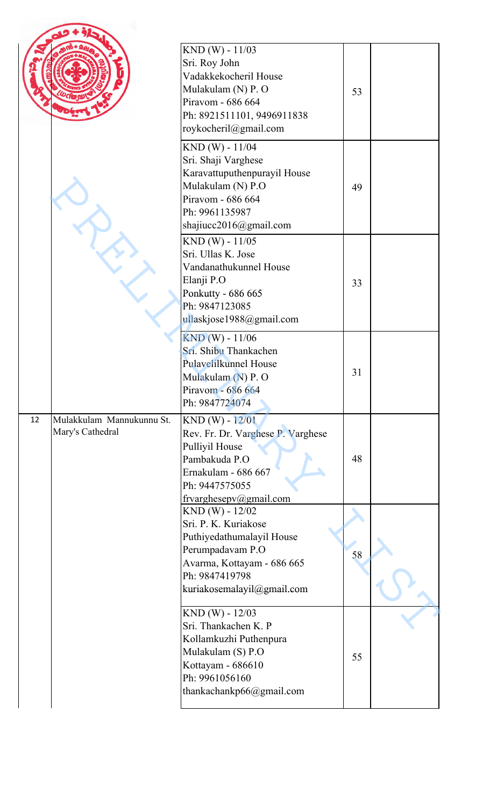|    |                                               | KND (W) - 11/03<br>Sri. Roy John<br>Vadakkekocheril House<br>Mulakulam (N) P. O<br>Piravom - 686 664<br>Ph: 8921511101, 9496911838<br>roykocheril@gmail.com              | 53 |  |
|----|-----------------------------------------------|--------------------------------------------------------------------------------------------------------------------------------------------------------------------------|----|--|
|    |                                               | KND (W) - 11/04<br>Sri. Shaji Varghese<br>Karavattuputhenpurayil House<br>Mulakulam (N) P.O<br>Piravom - 686 664<br>Ph: 9961135987<br>shajiucc2016@gmail.com             | 49 |  |
|    |                                               | KND (W) - 11/05<br>Sri. Ullas K. Jose<br>Vandanathukunnel House<br>Elanji P.O<br>Ponkutty - 686 665<br>Ph: 9847123085<br>ullaskjose1988@gmail.com                        | 33 |  |
|    |                                               | KND (W) - 11/06<br>Sri. Shibu Thankachen<br>Pulavelilkunnel House<br>Mulakulam (N) P. O<br>Piravom - 686 664<br>Ph: 9847724074                                           | 31 |  |
| 12 | Mulakkulam Mannukunnu St.<br>Mary's Cathedral | KND (W) - 12/01<br>Rev. Fr. Dr. Varghese P. Varghese<br>Pulliyil House<br>Pambakuda P.O<br>Ernakulam - 686 667<br>Ph: 9447575055<br>frvarghesepv@gmail.com               | 48 |  |
|    |                                               | $KND (W) - 12/02$<br>Sri. P. K. Kuriakose<br>Puthiyedathumalayil House<br>Perumpadavam P.O<br>Avarma, Kottayam - 686 665<br>Ph: 9847419798<br>kuriakosemalayil@gmail.com | 58 |  |
|    |                                               | $KND(W) - 12/03$<br>Sri. Thankachen K. P<br>Kollamkuzhi Puthenpura<br>Mulakulam (S) P.O<br>Kottayam - 686610<br>Ph: 9961056160<br>thankachankp66@gmail.com               | 55 |  |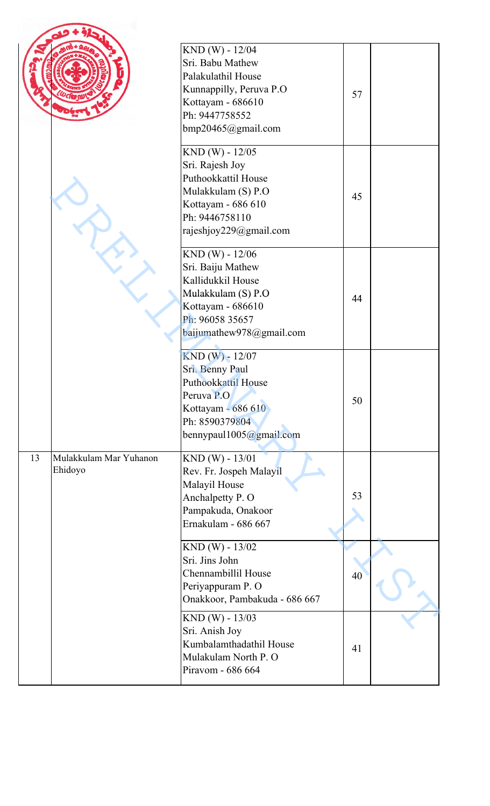|    |                                   | KND (W) - 12/04<br>Sri. Babu Mathew<br>Palakulathil House<br>Kunnappilly, Peruva P.O<br>Kottayam - 686610<br>Ph: 9447758552<br>bmp20465@gmail.com   | 57 |  |
|----|-----------------------------------|-----------------------------------------------------------------------------------------------------------------------------------------------------|----|--|
|    |                                   | KND (W) - 12/05<br>Sri. Rajesh Joy<br>Puthookkattil House<br>Mulakkulam (S) P.O<br>Kottayam - 686 610<br>Ph: 9446758110<br>rajeshjoy229@gmail.com   | 45 |  |
|    |                                   | KND (W) - 12/06<br>Sri. Baiju Mathew<br>Kallidukkil House<br>Mulakkulam (S) P.O<br>Kottayam - 686610<br>Ph: 96058 35657<br>baijumathew978@gmail.com | 44 |  |
|    |                                   | KND (W) - 12/07<br>Sri. Benny Paul<br>Puthookkattil House<br>Peruva P.O<br>Kottayam - 686 610<br>Ph: 8590379804<br>bennypaul1005@gmail.com          | 50 |  |
| 13 | Mulakkulam Mar Yuhanon<br>Ehidoyo | KND (W) - 13/01<br>Rev. Fr. Jospeh Malayil<br>Malayil House<br>Anchalpetty P. O<br>Pampakuda, Onakoor<br>Ernakulam - 686 667                        | 53 |  |
|    |                                   | $KND (W) - 13/02$<br>Sri. Jins John<br>Chennambillil House<br>Periyappuram P. O<br>Onakkoor, Pambakuda - 686 667                                    | 40 |  |
|    |                                   | KND (W) - 13/03<br>Sri. Anish Joy<br>Kumbalamthadathil House<br>Mulakulam North P. O<br>Piravom - 686 664                                           | 41 |  |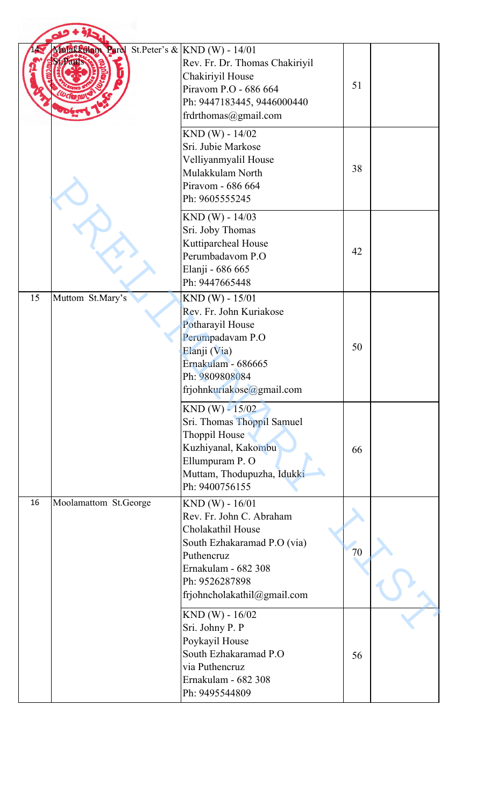|    | Malakkellam Parel St.Peter's & KND (W) - 14/01 | Rev. Fr. Dr. Thomas Chakiriyil<br>Chakiriyil House<br>Piravom P.O - 686 664<br>Ph: 9447183445, 9446000440<br>frdrthomas@gmail.com                                                      | 51 |  |
|----|------------------------------------------------|----------------------------------------------------------------------------------------------------------------------------------------------------------------------------------------|----|--|
|    |                                                | $KND (W) - 14/02$<br>Sri. Jubie Markose<br>Velliyanmyalil House<br>Mulakkulam North<br>Piravom - 686 664<br>Ph: 9605555245                                                             | 38 |  |
|    |                                                | $KND(W) - 14/03$<br>Sri. Joby Thomas<br>Kuttiparcheal House<br>Perumbadavom P.O<br>Elanji - 686 665<br>Ph: 9447665448                                                                  | 42 |  |
| 15 | Muttom St.Mary's                               | $KND(W) - 15/01$<br>Rev. Fr. John Kuriakose<br>Potharayil House<br>Perumpadavam P.O<br>Elanji (Via)<br>Ernakulam - 686665<br>Ph: 9809808084<br>frjohnkuriakose@gmail.com               | 50 |  |
|    |                                                | $KND (W) - 15/02$<br>Sri. Thomas Thoppil Samuel<br>Thoppil House<br>Kuzhiyanal, Kakombu<br>Ellumpuram P. O<br>Muttam, Thodupuzha, Idukki<br>Ph: 9400756155                             | 66 |  |
| 16 | Moolamattom St.George                          | $KND(W) - 16/01$<br>Rev. Fr. John C. Abraham<br>Cholakathil House<br>South Ezhakaramad P.O (via)<br>Puthencruz<br>Ernakulam - 682 308<br>Ph: 9526287898<br>frjohncholakathil@gmail.com | 70 |  |
|    |                                                | $KND(W) - 16/02$<br>Sri. Johny P. P<br>Poykayil House<br>South Ezhakaramad P.O<br>via Puthencruz<br>Ernakulam - 682 308<br>Ph: 9495544809                                              | 56 |  |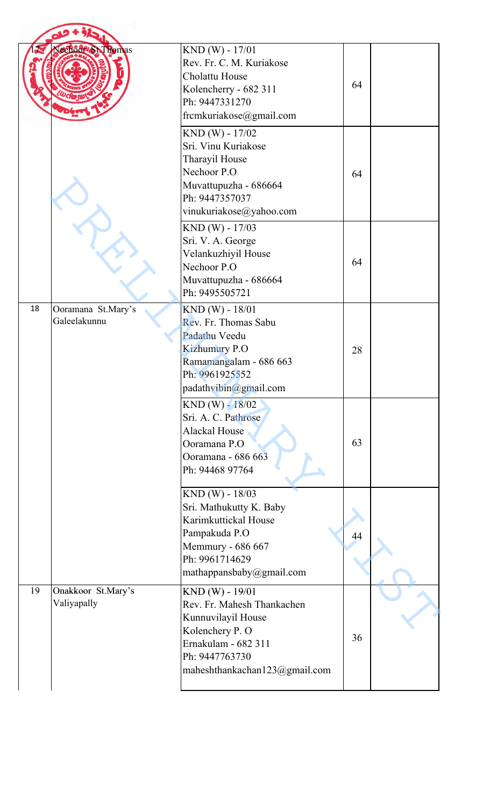|    | Nechod <sup>e</sup> St. Thomas     | KND (W) - 17/01<br>Rev. Fr. C. M. Kuriakose<br>Cholattu House<br>Kolencherry - 682 311<br>Ph: 9447331270<br>frcmkuriakose@gmail.com                                | 64 |  |
|----|------------------------------------|--------------------------------------------------------------------------------------------------------------------------------------------------------------------|----|--|
|    |                                    | KND (W) - 17/02<br>Sri. Vinu Kuriakose<br>Tharayil House<br>Nechoor P.O<br>Muvattupuzha - 686664<br>Ph: 9447357037<br>vinukuriakose@yahoo.com                      | 64 |  |
|    |                                    | KND (W) - 17/03<br>Sri. V. A. George<br>Velankuzhiyil House<br>Nechoor P.O<br>Muvattupuzha - 686664<br>Ph: 9495505721                                              | 64 |  |
| 18 | Ooramana St.Mary's<br>Galeelakunnu | KND (W) - 18/01<br>Rev. Fr. Thomas Sabu<br>Padathu Veedu<br><b>Kizhumury P.O</b><br>Ramamangalam - 686 663<br>Ph: 9961925552<br>padathvibin@gmail.com              | 28 |  |
|    |                                    | $KND (W) - 18/02$<br>Sri. A. C. Pathrose<br><b>Alackal House</b><br>Ooramana P.O<br>Ooramana - 686 663<br>Ph: 94468 97764                                          | 63 |  |
|    |                                    | KND (W) - 18/03<br>Sri. Mathukutty K. Baby<br>Karimkuttickal House<br>Pampakuda P.O<br>Memmury - 686 667<br>Ph: 9961714629<br>mathappansbaby@gmail.com             | 44 |  |
| 19 | Onakkoor St.Mary's<br>Valiyapally  | $KND (W) - 19/01$<br>Rev. Fr. Mahesh Thankachen<br>Kunnuvilayil House<br>Kolenchery P. O<br>Ernakulam - 682 311<br>Ph: 9447763730<br>maheshthankachan123@gmail.com | 36 |  |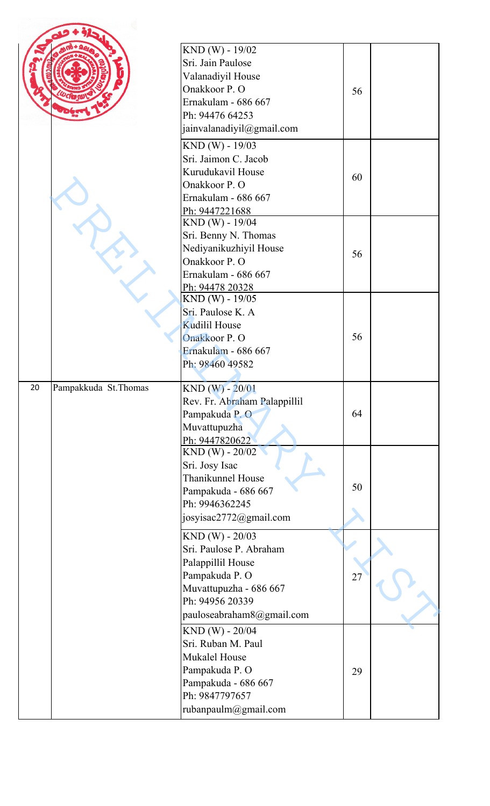|                             | KND (W) - 19/02<br>Sri. Jain Paulose<br>Valanadiyil House<br>Onakkoor P. O<br>Ernakulam - 686 667<br>Ph: 94476 64253<br>jainvalanadiyil@gmail.com                            | 56 |  |
|-----------------------------|------------------------------------------------------------------------------------------------------------------------------------------------------------------------------|----|--|
|                             | KND (W) - 19/03<br>Sri. Jaimon C. Jacob<br>Kurudukavil House<br>Onakkoor P.O<br>Ernakulam - 686 667<br>Ph: 9447221688                                                        | 60 |  |
|                             | KND (W) - 19/04<br>Sri. Benny N. Thomas<br>Nediyanikuzhiyil House<br>Onakkoor P.O<br>Ernakulam - 686 667<br>Ph: 94478 20328                                                  | 56 |  |
|                             | KND (W) - 19/05<br>Sri. Paulose K. A<br><b>Kudilil House</b><br>Onakkoor P.O<br>Ernakulam - 686 667<br>Ph: 98460 49582                                                       | 56 |  |
| 20<br>Pampakkuda St. Thomas | KND (W) - 20/01<br>Rev. Fr. Abraham Palappillil<br>Pampakuda P.O<br>Muvattupuzha<br>Ph: 9447820622                                                                           | 64 |  |
|                             | $KND (W) - 20/02$<br>Sri. Josy Isac<br>Thanikunnel House<br>Pampakuda - 686 667<br>Ph: 9946362245<br>josyisac2772@gmail.com                                                  | 50 |  |
|                             | KND (W) - 20/03<br>Sri. Paulose P. Abraham<br>Palappillil House<br>Pampakuda P.O<br>Muvattupuzha - 686 667<br>Ph: 94956 20339                                                | 27 |  |
|                             | pauloseabraham8@gmail.com<br>KND (W) - 20/04<br>Sri. Ruban M. Paul<br><b>Mukalel House</b><br>Pampakuda P.O<br>Pampakuda - 686 667<br>Ph: 9847797657<br>rubanpaulm@gmail.com | 29 |  |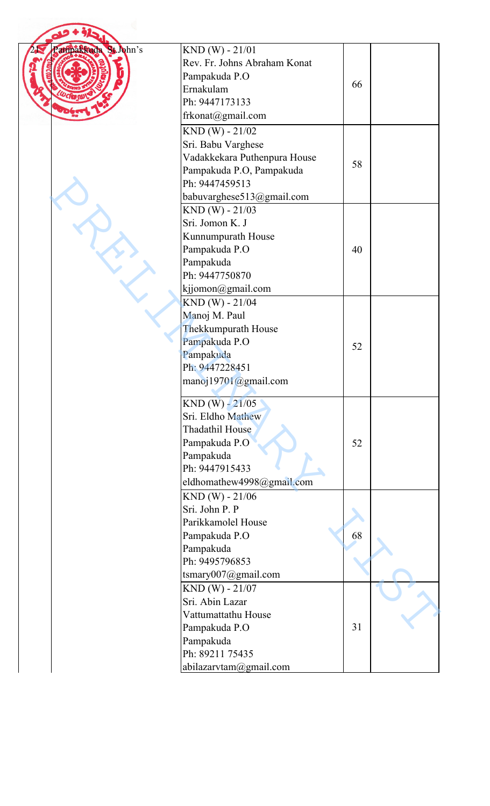| arripakkuda St. John's | $KND(W) - 21/01$             |    |  |
|------------------------|------------------------------|----|--|
|                        | Rev. Fr. Johns Abraham Konat |    |  |
|                        | Pampakuda P.O                |    |  |
|                        | Ernakulam                    | 66 |  |
|                        | Ph: 9447173133               |    |  |
|                        | frkonat@gmail.com            |    |  |
|                        | $KND(W) - 21/02$             |    |  |
|                        | Sri. Babu Varghese           |    |  |
|                        | Vadakkekara Puthenpura House |    |  |
|                        | Pampakuda P.O, Pampakuda     | 58 |  |
|                        | Ph: 9447459513               |    |  |
|                        | babuvarghese513@gmail.com    |    |  |
|                        | $KND(W) - 21/03$             |    |  |
|                        | Sri. Jomon K. J              |    |  |
|                        | Kunnumpurath House           |    |  |
|                        | Pampakuda P.O                | 40 |  |
|                        | Pampakuda                    |    |  |
|                        | Ph: 9447750870               |    |  |
|                        | kjjomon@gmail.com            |    |  |
|                        | KND (W) - 21/04              |    |  |
|                        | Manoj M. Paul                |    |  |
|                        | Thekkumpurath House          |    |  |
|                        | Pampakuda P.O                | 52 |  |
|                        | Pampakuda                    |    |  |
|                        | Ph: 9447228451               |    |  |
|                        | manoj19701@gmail.com         |    |  |
|                        | $KND (W) - 21/05$            |    |  |
|                        | Sri. Eldho Mathew            |    |  |
|                        | Thadathil House              |    |  |
|                        | Pampakuda P.O                | 52 |  |
|                        | Pampakuda                    |    |  |
|                        | Ph: 9447915433               |    |  |
|                        | eldhomathew4998@gmail.com    |    |  |
|                        | $KND(W) - 21/06$             |    |  |
|                        | Sri. John P. P               |    |  |
|                        | Parikkamolel House           |    |  |
|                        | Pampakuda P.O                | 68 |  |
|                        | Pampakuda                    |    |  |
|                        | Ph: 9495796853               |    |  |
|                        | tsmary007@gmail.com          |    |  |
|                        | $KND(W) - 21/07$             |    |  |
|                        | Sri. Abin Lazar              |    |  |
|                        | Vattumattathu House          | 31 |  |
|                        | Pampakuda P.O<br>Pampakuda   |    |  |
|                        | Ph: 89211 75435              |    |  |
|                        | abilazarvtam@gmail.com       |    |  |
|                        |                              |    |  |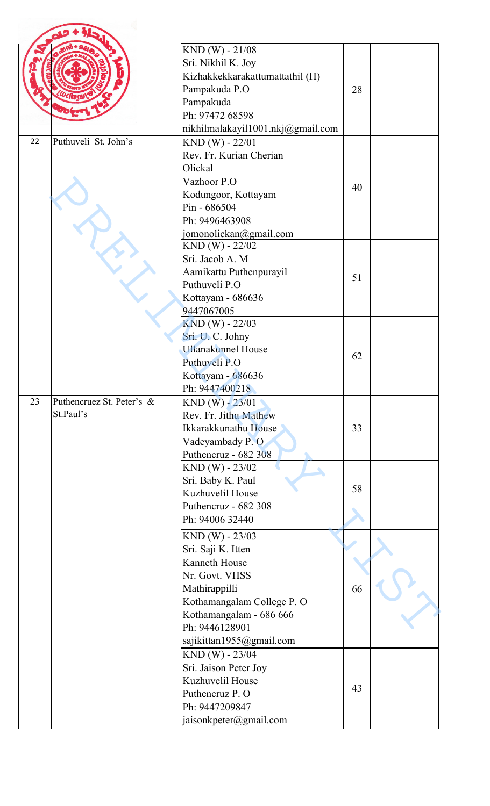|    |                                        | $KND(W) - 21/08$<br>Sri. Nikhil K. Joy<br>Kizhakkekkarakattumattathil (H)<br>Pampakuda P.O                                                               | 28 |  |
|----|----------------------------------------|----------------------------------------------------------------------------------------------------------------------------------------------------------|----|--|
|    |                                        | Pampakuda<br>Ph: 97472 68598<br>nikhilmalakayil1001.nkj@gmail.com                                                                                        |    |  |
| 22 | Puthuveli St. John's                   | $KND(W) - 22/01$<br>Rev. Fr. Kurian Cherian<br>Olickal<br>Vazhoor P.O<br>Kodungoor, Kottayam<br>Pin - 686504<br>Ph: 9496463908<br>jomonolickan@gmail.com | 40 |  |
|    |                                        | $KND(W) - 22/02$<br>Sri. Jacob A. M<br>Aamikattu Puthenpurayil<br>Puthuveli P.O<br>Kottayam - 686636<br>9447067005                                       | 51 |  |
|    |                                        | $KND(W) - 22/03$<br>Sri. U. C. Johny<br><b>Ullanakunnel House</b><br>Puthuveli P.O<br>Kottayam - 686636<br>Ph: 9447400218                                | 62 |  |
| 23 | Puthencruez St. Peter's &<br>St.Paul's | $KND (W) - 23/01$<br>Rev. Fr. Jithu Mathew<br>Ikkarakkunathu House<br>Vadeyambady P.O.<br>Puthencruz - 682 308                                           | 33 |  |
|    |                                        | $KND (W) - 23/02$<br>Sri. Baby K. Paul<br>Kuzhuvelil House<br>Puthencruz - 682 308<br>Ph: 94006 32440                                                    | 58 |  |
|    |                                        | $KND(W) - 23/03$<br>Sri. Saji K. Itten<br>Kanneth House<br>Nr. Govt. VHSS<br>Mathirappilli<br>Kothamangalam College P. O                                 | 66 |  |
|    |                                        | Kothamangalam - 686 666<br>Ph: 9446128901<br>sajikittan1955@gmail.com                                                                                    |    |  |
|    |                                        | KND (W) - 23/04<br>Sri. Jaison Peter Joy<br>Kuzhuvelil House<br>Puthencruz P. O<br>Ph: 9447209847<br>jaisonkpeter@gmail.com                              | 43 |  |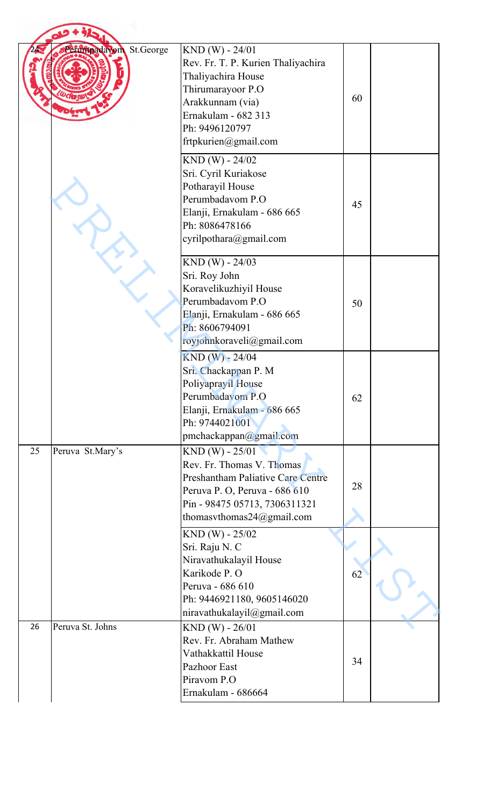|    | St.George<br>Perimpadavom | $KND(W) - 24/01$<br>Rev. Fr. T. P. Kurien Thaliyachira<br>Thaliyachira House<br>Thirumarayoor P.O<br>Arakkunnam (via)<br>Ernakulam - 682 313<br>Ph: 9496120797<br>frtpkurien@gmail.com   | 60 |  |
|----|---------------------------|------------------------------------------------------------------------------------------------------------------------------------------------------------------------------------------|----|--|
|    |                           | KND (W) - 24/02<br>Sri. Cyril Kuriakose<br>Potharayil House<br>Perumbadavom P.O<br>Elanji, Ernakulam - 686 665<br>Ph: 8086478166<br>cyrilpothara@gmail.com                               | 45 |  |
|    |                           | $KND(W) - 24/03$<br>Sri. Roy John<br>Koravelikuzhiyil House<br>Perumbadavom P.O<br>Elanji, Ernakulam - 686 665<br>Ph: 8606794091<br>royjohnkoraveli@gmail.com                            | 50 |  |
|    |                           | $KND (W) - 24/04$<br>Sri. Chackappan P. M<br>Poliyaprayil House<br>Perumbadavom P.O<br>Elanji, Ernakulam - 686 665<br>Ph: 9744021001<br>pmchackappan@gmail.com                           | 62 |  |
| 25 | Peruva St.Mary's          | $KND(W) - 25/01$<br>Rev. Fr. Thomas V. Thomas<br><b>Preshantham Paliative Care Centre</b><br>Peruva P. O, Peruva - 686 610<br>Pin - 98475 05713, 7306311321<br>thomasythomas24@gmail.com | 28 |  |
|    |                           | $KND(W) - 25/02$<br>Sri. Raju N. C<br>Niravathukalayil House<br>Karikode P. O<br>Peruva - 686 610<br>Ph: 9446921180, 9605146020<br>niravathukalayil@gmail.com                            | 62 |  |
| 26 | Peruva St. Johns          | $KND(W) - 26/01$<br>Rev. Fr. Abraham Mathew<br>Vathakkattil House<br>Pazhoor East<br>Piravom P.O<br>Ernakulam - 686664                                                                   | 34 |  |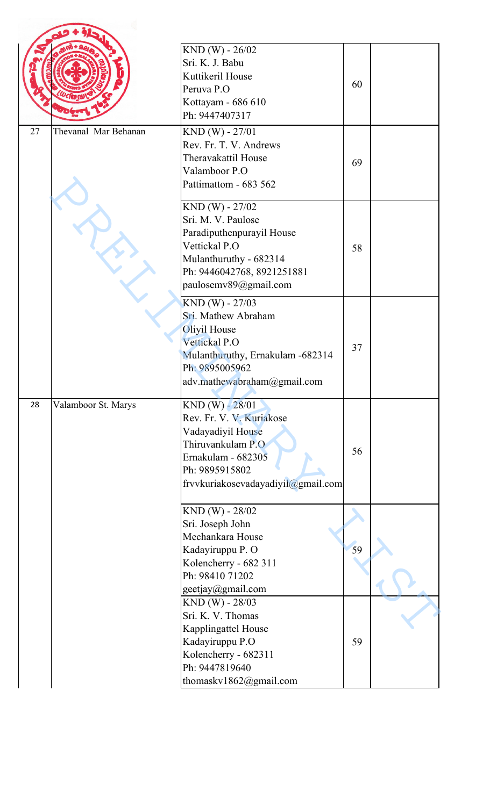|    |                      | $KND(W) - 26/02$<br>Sri. K. J. Babu<br>Kuttikeril House<br>Peruva P.O<br>Kottayam - 686 610<br>Ph: 9447407317                                                         | 60 |  |
|----|----------------------|-----------------------------------------------------------------------------------------------------------------------------------------------------------------------|----|--|
| 27 | Thevanal Mar Behanan | KND (W) - 27/01<br>Rev. Fr. T. V. Andrews<br>Theravakattil House<br>Valamboor P.O<br>Pattimattom - 683 562                                                            | 69 |  |
|    |                      | KND (W) - 27/02<br>Sri. M. V. Paulose<br>Paradiputhenpurayil House<br>Vettickal P.O<br>Mulanthuruthy - 682314<br>Ph: 9446042768, 8921251881<br>paulosemv89@gmail.com  | 58 |  |
|    |                      | KND (W) - 27/03<br>Sri. Mathew Abraham<br>Oliyil House<br>Vettickal P.O<br>Mulanthuruthy, Ernakulam -682314<br>Ph: 9895005962<br>adv.mathewabraham@gmail.com          | 37 |  |
| 28 | Valamboor St. Marys  | $KND (W) - 28/01$<br>Rev. Fr. V. V. Kuriakose<br>Vadayadiyil House<br>Thiruvankulam P.O<br>Ernakulam - 682305<br>Ph: 9895915802<br>frvvkuriakosevadayadiyil@gmail.com | 56 |  |
|    |                      | KND (W) - 28/02<br>Sri. Joseph John<br>Mechankara House<br>Kadayiruppu P. O<br>Kolencherry - 682 311<br>Ph: 98410 71202<br>geetjay@gmail.com                          | 59 |  |
|    |                      | KND (W) - 28/03<br>Sri. K. V. Thomas<br>Kapplingattel House<br>Kadayiruppu P.O<br>Kolencherry - 682311<br>Ph: 9447819640<br>thomaskv1862@gmail.com                    | 59 |  |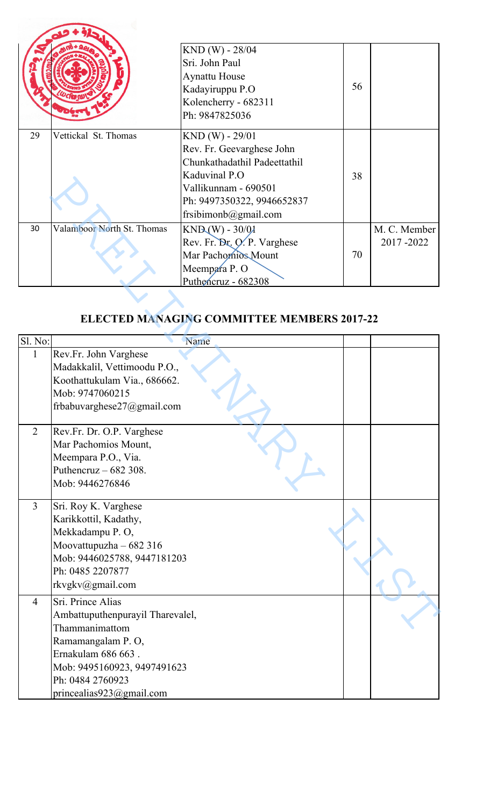|    |                            | $KND(W) - 28/04$             |    |              |
|----|----------------------------|------------------------------|----|--------------|
|    |                            | Sri. John Paul               |    |              |
|    |                            | <b>Aynattu House</b>         |    |              |
|    |                            | Kadayiruppu P.O              | 56 |              |
|    |                            | Kolencherry - 682311         |    |              |
|    |                            | Ph: 9847825036               |    |              |
| 29 | Vettickal St. Thomas       | $KND(W) - 29/01$             |    |              |
|    |                            | Rev. Fr. Geevarghese John    |    |              |
|    |                            | Chunkathadathil Padeettathil |    |              |
|    |                            | Kaduvinal P.O                | 38 |              |
|    |                            | Vallikunnam - 690501         |    |              |
|    |                            | Ph: 9497350322, 9946652837   |    |              |
|    |                            | frsibimonb@gmail.com         |    |              |
| 30 | Valamboor North St. Thomas | $KND(W) - 30/01$             |    | M. C. Member |
|    |                            | Rev. Fr. Dr. O. P. Varghese  |    | 2017-2022    |
|    |                            | Mar Pachomios Mount          | 70 |              |
|    |                            | Meempara P.O                 |    |              |
|    |                            | Puthencruz - 682308          |    |              |

## **ELECTED MANAGING COMMITTEE MEMBERS 2017-22**

|                         |                                                                                                                                                                                                   | Nauuvillal I .U<br>Vallikunnam - 690501<br>Ph: 9497350322, 9946652837<br>frsibimonb@gmail.com                 | 90 |                           |
|-------------------------|---------------------------------------------------------------------------------------------------------------------------------------------------------------------------------------------------|---------------------------------------------------------------------------------------------------------------|----|---------------------------|
| 30                      | Valamboor North St. Thomas                                                                                                                                                                        | $KND(W) - 30/01$<br>Rev. Fr. Dr. O. P. Varghese<br>Mar Pachomios Mount<br>Meempara P.O<br>Puthencruz - 682308 | 70 | M. C. Member<br>2017-2022 |
|                         |                                                                                                                                                                                                   | <b>ELECTED MANAGING COMMITTEE MEMBERS 2017-22</b>                                                             |    |                           |
| Sl. No:<br>$\mathbf{1}$ | Rev.Fr. John Varghese<br>Madakkalil, Vettimoodu P.O.,<br>Koothattukulam Via., 686662.<br>Mob: 9747060215<br>frbabuvarghese27@gmail.com                                                            | Name                                                                                                          |    |                           |
| $\overline{2}$          | Rev.Fr. Dr. O.P. Varghese<br>Mar Pachomios Mount,<br>Meempara P.O., Via.<br>Puthencruz $-682308$ .<br>Mob: 9446276846                                                                             |                                                                                                               |    |                           |
| $\overline{3}$          | Sri. Roy K. Varghese<br>Karikkottil, Kadathy,<br>Mekkadampu P.O.<br>Moovattupuzha $-682316$<br>Mob: 9446025788, 9447181203<br>Ph: 0485 2207877<br>rkvgkv@gmail.com                                |                                                                                                               |    |                           |
| $\overline{4}$          | Sri. Prince Alias<br>Ambattuputhenpurayil Tharevalel,<br>Thammanimattom<br>Ramamangalam P.O,<br>Ernakulam 686 663.<br>Mob: 9495160923, 9497491623<br>Ph: 0484 2760923<br>princealias923@gmail.com |                                                                                                               |    |                           |